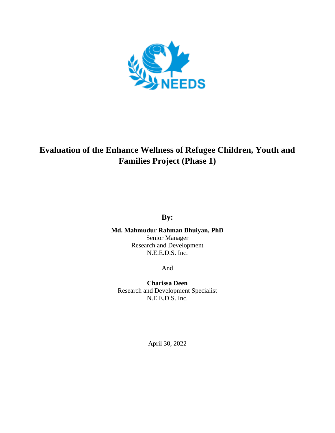

# **Evaluation of the Enhance Wellness of Refugee Children, Youth and Families Project (Phase 1)**

**By:**

**Md. Mahmudur Rahman Bhuiyan, PhD** Senior Manager Research and Development N.E.E.D.S. Inc.

And

**Charissa Deen** Research and Development Specialist N.E.E.D.S. Inc.

April 30, 2022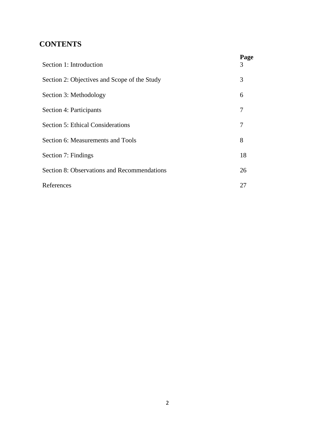# **CONTENTS**

| Section 1: Introduction                      | Page<br>3 |
|----------------------------------------------|-----------|
| Section 2: Objectives and Scope of the Study | 3         |
| Section 3: Methodology                       | 6         |
| Section 4: Participants                      | 7         |
| <b>Section 5: Ethical Considerations</b>     | 7         |
| Section 6: Measurements and Tools            | 8         |
| Section 7: Findings                          | 18        |
| Section 8: Observations and Recommendations  | 26        |
| References                                   | 27        |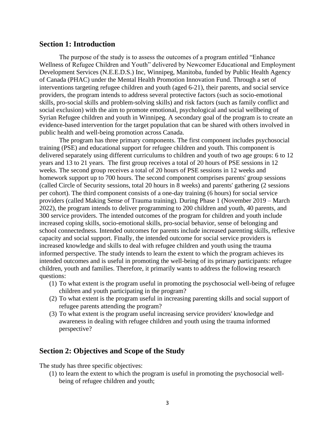### **Section 1: Introduction**

The purpose of the study is to assess the outcomes of a program entitled "Enhance Wellness of Refugee Children and Youth" delivered by Newcomer Educational and Employment Development Services (N.E.E.D.S.) Inc, Winnipeg, Manitoba, funded by Public Health Agency of Canada (PHAC) under the Mental Health Promotion Innovation Fund. Through a set of interventions targeting refugee children and youth (aged 6-21), their parents, and social service providers, the program intends to address several protective factors (such as socio-emotional skills, pro-social skills and problem-solving skills) and risk factors (such as family conflict and social exclusion) with the aim to promote emotional, psychological and social wellbeing of Syrian Refugee children and youth in Winnipeg. A secondary goal of the program is to create an evidence-based intervention for the target population that can be shared with others involved in public health and well-being promotion across Canada.

The program has three primary components. The first component includes psychosocial training (PSE) and educational support for refugee children and youth. This component is delivered separately using different curriculums to children and youth of two age groups: 6 to 12 years and 13 to 21 years. The first group receives a total of 20 hours of PSE sessions in 12 weeks. The second group receives a total of 20 hours of PSE sessions in 12 weeks and homework support up to 700 hours. The second component comprises parents' group sessions (called Circle of Security sessions, total 20 hours in 8 weeks) and parents' gathering (2 sessions per cohort). The third component consists of a one-day training (6 hours) for social service providers (called Making Sense of Trauma training). During Phase 1 (November 2019 – March 2022), the program intends to deliver programming to 200 children and youth, 40 parents, and 300 service providers. The intended outcomes of the program for children and youth include increased coping skills, socio-emotional skills, pro-social behavior, sense of belonging and school connectedness. Intended outcomes for parents include increased parenting skills, reflexive capacity and social support. Finally, the intended outcome for social service providers is increased knowledge and skills to deal with refugee children and youth using the trauma informed perspective. The study intends to learn the extent to which the program achieves its intended outcomes and is useful in promoting the well-being of its primary participants: refugee children, youth and families. Therefore, it primarily wants to address the following research questions:

- (1) To what extent is the program useful in promoting the psychosocial well-being of refugee children and youth participating in the program?
- (2) To what extent is the program useful in increasing parenting skills and social support of refugee parents attending the program?
- (3) To what extent is the program useful increasing service providers' knowledge and awareness in dealing with refugee children and youth using the trauma informed perspective?

# **Section 2: Objectives and Scope of the Study**

The study has three specific objectives:

(1) to learn the extent to which the program is useful in promoting the psychosocial wellbeing of refugee children and youth;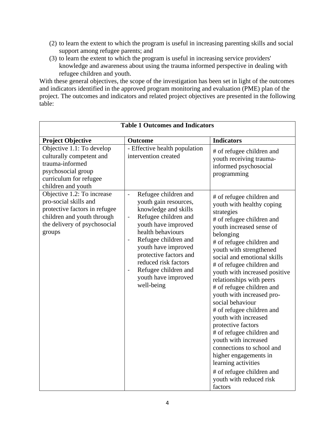- (2) to learn the extent to which the program is useful in increasing parenting skills and social support among refugee parents; and
- (3) to learn the extent to which the program is useful in increasing service providers' knowledge and awareness about using the trauma informed perspective in dealing with refugee children and youth.

With these general objectives, the scope of the investigation has been set in light of the outcomes and indicators identified in the approved program monitoring and evaluation (PME) plan of the project. The outcomes and indicators and related project objectives are presented in the following table:

| <b>Table 1 Outcomes and Indicators</b>                                                                                                                       |                                                                                                                                                                                                                                                                                                                                             |                                                                                                                                                                                                                                                                                                                                                                                                                                                                                                                                                                                                                                                                                           |  |
|--------------------------------------------------------------------------------------------------------------------------------------------------------------|---------------------------------------------------------------------------------------------------------------------------------------------------------------------------------------------------------------------------------------------------------------------------------------------------------------------------------------------|-------------------------------------------------------------------------------------------------------------------------------------------------------------------------------------------------------------------------------------------------------------------------------------------------------------------------------------------------------------------------------------------------------------------------------------------------------------------------------------------------------------------------------------------------------------------------------------------------------------------------------------------------------------------------------------------|--|
| <b>Project Objective</b>                                                                                                                                     | Outcome                                                                                                                                                                                                                                                                                                                                     | <b>Indicators</b>                                                                                                                                                                                                                                                                                                                                                                                                                                                                                                                                                                                                                                                                         |  |
| Objective 1.1: To develop<br>culturally competent and<br>trauma-informed<br>psychosocial group<br>curriculum for refugee<br>children and youth               | - Effective health population<br>intervention created                                                                                                                                                                                                                                                                                       | # of refugee children and<br>youth receiving trauma-<br>informed psychosocial<br>programming                                                                                                                                                                                                                                                                                                                                                                                                                                                                                                                                                                                              |  |
| Objective 1.2: To increase<br>pro-social skills and<br>protective factors in refugee<br>children and youth through<br>the delivery of psychosocial<br>groups | Refugee children and<br>$\blacksquare$<br>youth gain resources,<br>knowledge and skills<br>Refugee children and<br>$\blacksquare$<br>youth have improved<br>health behaviours<br>Refugee children and<br>youth have improved<br>protective factors and<br>reduced risk factors<br>Refugee children and<br>youth have improved<br>well-being | # of refugee children and<br>youth with healthy coping<br>strategies<br># of refugee children and<br>youth increased sense of<br>belonging<br># of refugee children and<br>youth with strengthened<br>social and emotional skills<br># of refugee children and<br>youth with increased positive<br>relationships with peers<br># of refugee children and<br>youth with increased pro-<br>social behaviour<br># of refugee children and<br>youth with increased<br>protective factors<br># of refugee children and<br>youth with increased<br>connections to school and<br>higher engagements in<br>learning activities<br># of refugee children and<br>youth with reduced risk<br>factors |  |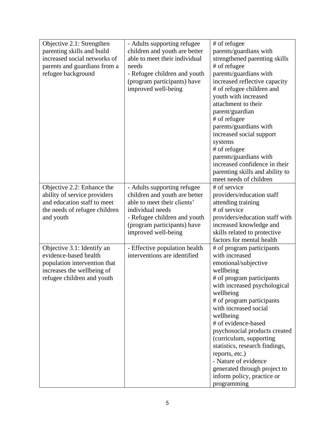| Objective 2.1: Strengthen     | - Adults supporting refugee   | # of refugee                    |
|-------------------------------|-------------------------------|---------------------------------|
| parenting skills and build    | children and youth are better | parents/guardians with          |
| increased social networks of  | able to meet their individual | strengthened parenting skills   |
| parents and guardians from a  | needs                         | # of refugee                    |
| refugee background            | - Refugee children and youth  | parents/guardians with          |
|                               | (program participants) have   | increased reflective capacity   |
|                               | improved well-being           | # of refugee children and       |
|                               |                               | youth with increased            |
|                               |                               | attachment to their             |
|                               |                               | parent/guardian                 |
|                               |                               | # of refugee                    |
|                               |                               | parents/guardians with          |
|                               |                               | increased social support        |
|                               |                               | systems                         |
|                               |                               | # of refugee                    |
|                               |                               | parents/guardians with          |
|                               |                               | increased confidence in their   |
|                               |                               | parenting skills and ability to |
|                               |                               | meet needs of children          |
| Objective 2.2: Enhance the    | - Adults supporting refugee   | # of service                    |
| ability of service providers  | children and youth are better | providers/education staff       |
| and education staff to meet   | able to meet their clients'   | attending training              |
| the needs of refugee children | individual needs              | # of service                    |
| and youth                     | - Refugee children and youth  | providers/education staff with  |
|                               | (program participants) have   | increased knowledge and         |
|                               | improved well-being           | skills related to protective    |
|                               |                               | factors for mental health       |
| Objective 3.1: Identify an    | - Effective population health | # of program participants       |
| evidence-based health         | interventions are identified  | with increased                  |
| population intervention that  |                               | emotional/subjective            |
| increases the wellbeing of    |                               | wellbeing                       |
| refugee children and youth    |                               | # of program participants       |
|                               |                               | with increased psychological    |
|                               |                               | wellbeing                       |
|                               |                               | # of program participants       |
|                               |                               | with increased social           |
|                               |                               | wellbeing                       |
|                               |                               | # of evidence-based             |
|                               |                               | psychosocial products created   |
|                               |                               | (curriculum, supporting         |
|                               |                               | statistics, research findings,  |
|                               |                               | reports, etc.)                  |
|                               |                               | - Nature of evidence            |
|                               |                               | generated through project to    |
|                               |                               | inform policy, practice or      |
|                               |                               | programming                     |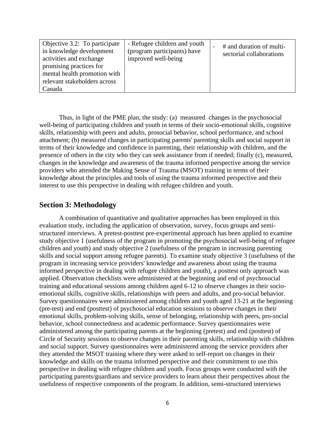| Objective 3.2: To participate<br>in knowledge development<br>activities and exchange | - Refugee children and youth<br>(program participants) have<br>improved well-being | # and duration of multi-<br>sectorial collaborations |
|--------------------------------------------------------------------------------------|------------------------------------------------------------------------------------|------------------------------------------------------|
| promising practices for<br>mental health promotion with                              |                                                                                    |                                                      |
| relevant stakeholders across                                                         |                                                                                    |                                                      |
| Canada                                                                               |                                                                                    |                                                      |

Thus, in light of the PME plan, the study: (a) measured changes in the psychosocial well-being of participating children and youth in terms of their socio-emotional skills, cognitive skills, relationship with peers and adults, prosocial behavior, school performance, and school attachment; (b) measured changes in participating parents' parenting skills and social support in terms of their knowledge and confidence in parenting, their relationship with children, and the presence of others in the city who they can seek assistance from if needed; finally (c), measured, changes in the knowledge and awareness of the trauma informed perspective among the service providers who attended the Making Sense of Trauma (MSOT) training in terms of their knowledge about the principles and tools of using the trauma informed perspective and their interest to use this perspective in dealing with refugee children and youth.

# **Section 3: Methodology**

A combination of quantitative and qualitative approaches has been employed in this evaluation study, including the application of observation, survey, focus groups and semistructured interviews. A pretest-posttest pre-experimental approach has been applied to examine study objective 1 (usefulness of the program in promoting the psychosocial well-being of refugee children and youth) and study objective 2 (usefulness of the program in increasing parenting skills and social support among refugee parents). To examine study objective 3 (usefulness of the program in increasing service providers' knowledge and awareness about using the trauma informed perspective in dealing with refugee children and youth), a posttest only approach was applied. Observation checklists were administered at the beginning and end of psychosocial training and educational sessions among children aged 6-12 to observe changes in their socioemotional skills, cognitive skills, relationships with peers and adults, and pro-social behavior. Survey questionnaires were administered among children and youth aged 13-21 at the beginning (pre-test) and end (posttest) of psychosocial education sessions to observe changes in their emotional skills, problem-solving skills, sense of belonging, relationship with peers, pro-social behavior, school connectedness and academic performance. Survey questionnaires were administered among the participating parents at the beginning (pretest) and end (posttest) of Circle of Security sessions to observe changes in their parenting skills, relationship with children and social support. Survey questionnaires were administered among the service providers after they attended the MSOT training where they were asked to self-report on changes in their knowledge and skills on the trauma informed perspective and their commitment to use this perspective in dealing with refugee children and youth. Focus groups were conducted with the participating parents/guardians and service providers to learn about their perspectives about the usefulness of respective components of the program. In addition, semi-structured interviews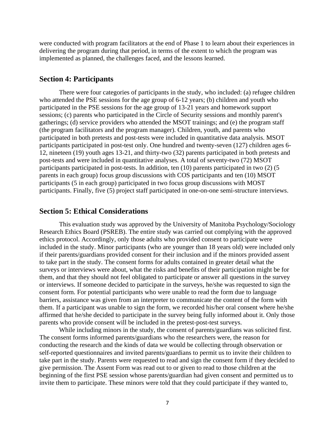were conducted with program facilitators at the end of Phase 1 to learn about their experiences in delivering the program during that period, in terms of the extent to which the program was implemented as planned, the challenges faced, and the lessons learned.

# **Section 4: Participants**

There were four categories of participants in the study, who included: (a) refugee children who attended the PSE sessions for the age group of 6-12 years; (b) children and youth who participated in the PSE sessions for the age group of 13-21 years and homework support sessions; (c) parents who participated in the Circle of Security sessions and monthly parent's gatherings; (d) service providers who attended the MSOT trainings; and (e) the program staff (the program facilitators and the program manager). Children, youth, and parents who participated in both pretests and post-tests were included in quantitative data analysis. MSOT participants participated in post-test only. One hundred and twenty-seven (127) children ages 6- 12, nineteen (19) youth ages 13-21, and thirty-two (32) parents participated in both pretests and post-tests and were included in quantitative analyses. A total of seventy-two (72) MSOT participants participated in post-tests. In addition, ten (10) parents participated in two (2) (5 parents in each group) focus group discussions with COS participants and ten (10) MSOT participants (5 in each group) participated in two focus group discussions with MOST participants. Finally, five (5) project staff participated in one-on-one semi-structure interviews.

# **Section 5: Ethical Considerations**

This evaluation study was approved by the University of Manitoba Psychology/Sociology Research Ethics Board (PSREB). The entire study was carried out complying with the approved ethics protocol. Accordingly, only those adults who provided consent to participate were included in the study. Minor participants (who are younger than 18 years old) were included only if their parents/guardians provided consent for their inclusion and if the minors provided assent to take part in the study. The consent forms for adults contained in greater detail what the surveys or interviews were about, what the risks and benefits of their participation might be for them, and that they should not feel obligated to participate or answer all questions in the survey or interviews. If someone decided to participate in the surveys, he/she was requested to sign the consent form. For potential participants who were unable to read the form due to language barriers, assistance was given from an interpreter to communicate the content of the form with them. If a participant was unable to sign the form, we recorded his/her oral consent where he/she affirmed that he/she decided to participate in the survey being fully informed about it. Only those parents who provide consent will be included in the pretest-post-test surveys.

While including minors in the study, the consent of parents/guardians was solicited first. The consent forms informed parents/guardians who the researchers were, the reason for conducting the research and the kinds of data we would be collecting through observation or self-reported questionnaires and invited parents/guardians to permit us to invite their children to take part in the study. Parents were requested to read and sign the consent form if they decided to give permission. The Assent Form was read out to or given to read to those children at the beginning of the first PSE session whose parents/guardian had given consent and permitted us to invite them to participate. These minors were told that they could participate if they wanted to,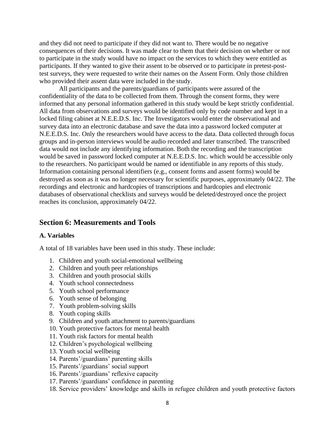and they did not need to participate if they did not want to. There would be no negative consequences of their decisions. It was made clear to them that their decision on whether or not to participate in the study would have no impact on the services to which they were entitled as participants. If they wanted to give their assent to be observed or to participate in pretest-posttest surveys, they were requested to write their names on the Assent Form. Only those children who provided their assent data were included in the study.

All participants and the parents/guardians of participants were assured of the confidentiality of the data to be collected from them. Through the consent forms, they were informed that any personal information gathered in this study would be kept strictly confidential. All data from observations and surveys would be identified only by code number and kept in a locked filing cabinet at N.E.E.D.S. Inc. The Investigators would enter the observational and survey data into an electronic database and save the data into a password locked computer at N.E.E.D.S. Inc. Only the researchers would have access to the data. Data collected through focus groups and in-person interviews would be audio recorded and later transcribed. The transcribed data would not include any identifying information. Both the recording and the transcription would be saved in password locked computer at N.E.E.D.S. Inc. which would be accessible only to the researchers. No participant would be named or identifiable in any reports of this study. Information containing personal identifiers (e.g., consent forms and assent forms) would be destroyed as soon as it was no longer necessary for scientific purposes, approximately 04/22. The recordings and electronic and hardcopies of transcriptions and hardcopies and electronic databases of observational checklists and surveys would be deleted/destroyed once the project reaches its conclusion, approximately 04/22.

# **Section 6: Measurements and Tools**

### **A. Variables**

A total of 18 variables have been used in this study. These include:

- 1. Children and youth social-emotional wellbeing
- 2. Children and youth peer relationships
- 3. Children and youth prosocial skills
- 4. Youth school connectedness
- 5. Youth school performance
- 6. Youth sense of belonging
- 7. Youth problem-solving skills
- 8. Youth coping skills
- 9. Children and youth attachment to parents/guardians
- 10. Youth protective factors for mental health
- 11. Youth risk factors for mental health
- 12. Children's psychological wellbeing
- 13. Youth social wellbeing
- 14. Parents'/guardians' parenting skills
- 15. Parents'/guardians' social support
- 16. Parents'/guardians' reflexive capacity
- 17. Parents'/guardians' confidence in parenting
- 18. Service providers' knowledge and skills in refugee children and youth protective factors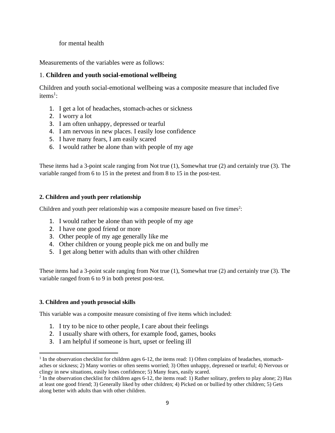### for mental health

Measurements of the variables were as follows:

# 1. **Children and youth social-emotional wellbeing**

Children and youth social-emotional wellbeing was a composite measure that included five items<sup>1</sup>:

- 1. I get a lot of headaches, stomach-aches or sickness
- 2. I worry a lot
- 3. I am often unhappy, depressed or tearful
- 4. I am nervous in new places. I easily lose confidence
- 5. I have many fears, I am easily scared
- 6. I would rather be alone than with people of my age

These items had a 3-point scale ranging from Not true (1), Somewhat true (2) and certainly true (3). The variable ranged from 6 to 15 in the pretest and from 8 to 15 in the post-test.

# **2. Children and youth peer relationship**

Children and youth peer relationship was a composite measure based on five times<sup>2</sup>:

- 1. I would rather be alone than with people of my age
- 2. I have one good friend or more
- 3. Other people of my age generally like me
- 4. Other children or young people pick me on and bully me
- 5. I get along better with adults than with other children

These items had a 3-point scale ranging from Not true (1), Somewhat true (2) and certainly true (3). The variable ranged from 6 to 9 in both pretest post-test.

# **3. Children and youth prosocial skills**

This variable was a composite measure consisting of five items which included:

- 1. I try to be nice to other people, I care about their feelings
- 2. I usually share with others, for example food, games, books
- 3. I am helpful if someone is hurt, upset or feeling ill

<sup>&</sup>lt;sup>1</sup> In the observation checklist for children ages 6-12, the items read: 1) Often complains of headaches, stomachaches or sickness; 2) Many worries or often seems worried; 3) Often unhappy, depressed or tearful; 4) Nervous or clingy in new situations, easily loses confidence; 5) Many fears, easily scared.

 $2 \text{ In the observation check}$  is for children ages 6-12, the items read: 1) Rather solitary, prefers to play alone; 2) Has at least one good friend; 3) Generally liked by other children; 4) Picked on or bullied by other children; 5) Gets along better with adults than with other children.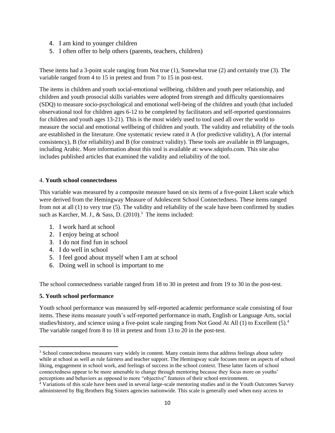- 4. I am kind to younger children
- 5. I often offer to help others (parents, teachers, children)

These items had a 3-point scale ranging from Not true (1), Somewhat true (2) and certainly true (3). The variable ranged from 4 to 15 in pretest and from 7 to 15 in post-test.

The items in children and youth social-emotional wellbeing, children and youth peer relationship, and children and youth prosocial skills variables were adopted from strength and difficulty questionnaires (SDQ) to measure socio-psychological and emotional well-being of the children and youth (that included observational tool for children ages 6-12 to be completed by facilitators and self-reported questionnaires for children and youth ages 13-21). This is the most widely used to tool used all over the world to measure the social and emotional wellbeing of children and youth. The validity and reliability of the tools are established in the literature. One systematic review rated it A (for predictive validity), A (for internal consistency), B (for reliability) and B (for construct validity). These tools are available in 89 languages, including Arabic. More information about this tool is available at: www.sdqinfo.com. This site also includes published articles that examined the validity and reliability of the tool.

### 4. **Youth school connectedness**

This variable was measured by a composite measure based on six items of a five-point Likert scale which were derived from the Hemingway Measure of Adolescent School Connectedness. These items ranged from not at all (1) to very true (5). The validity and reliability of the scale have been confirmed by studies such as Karcher, M. J., & Sass, D.  $(2010).<sup>3</sup>$  The items included:

- 1. I work hard at school
- 2. I enjoy being at school
- 3. I do not find fun in school
- 4. I do well in school
- 5. I feel good about myself when I am at school
- 6. Doing well in school is important to me

The school connectedness variable ranged from 18 to 30 in pretest and from 19 to 30 in the post-test.

### **5. Youth school performance**

Youth school performance was measured by self-reported academic performance scale consisting of four items. These items measure youth's self-reported performance in math, English or Language Arts, social studies/history, and science using a five-point scale ranging from Not Good At All  $(1)$  to Excellent  $(5)$ .<sup>4</sup> The variable ranged from 8 to 18 in pretest and from 13 to 20 in the post-test.

<sup>&</sup>lt;sup>3</sup> School connectedness measures vary widely in content. Many contain items that address feelings about safety while at school as well as rule fairness and teacher support. The Hemingway scale focuses more on aspects of school liking, engagement in school work, and feelings of success in the school context. These latter facets of school connectedness appear to be more amenable to change through mentoring because they focus more on youths' perceptions and behaviors as opposed to more "objective" features of their school environment.

<sup>&</sup>lt;sup>4</sup> Variations of this scale have been used in several large-scale mentoring studies and in the Youth Outcomes Survey administered by Big Brothers Big Sisters agencies nationwide. This scale is generally used when easy access to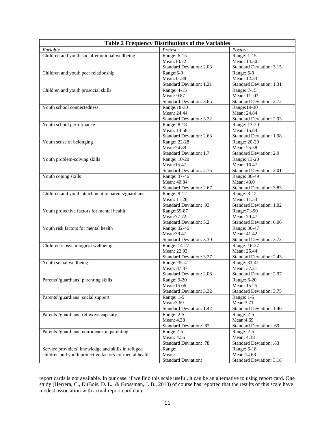| <b>Table 2 Frequency Distributions of the Variables</b> |                                          |                                 |  |
|---------------------------------------------------------|------------------------------------------|---------------------------------|--|
| Variable                                                | Pretest                                  | Posttest                        |  |
| Children and youth social-emotional wellbeing           | Range: 6-15                              | Range: 1-15                     |  |
|                                                         | Mean:13.72                               | Mean: 14.50                     |  |
|                                                         | <b>Standard Deviation: 2.03</b>          | <b>Standard Deviation: 3.15</b> |  |
| Children and youth peer relationship                    | Range: 6-9                               | Range: 6-9                      |  |
|                                                         | Mean:11.88                               | Mean: 12.33                     |  |
|                                                         | Standard Deviation: 1.21                 | <b>Standard Deviation: 1.31</b> |  |
| Children and youth prosocial skills                     | Range: 4-15                              | Range: 7-15                     |  |
|                                                         | Mean: 9.87                               | Mean: 11, 07                    |  |
|                                                         | Standard Deviation: 3.65                 | Standard Deviation: 2.72        |  |
| Youth school connectedness                              | Range: 18-30                             | Range: 19-30                    |  |
|                                                         | Mean: 24.44                              | Mean: 24.84                     |  |
|                                                         | <b>Standard Deviation: 3.22</b>          | <b>Standard Deviation: 2.93</b> |  |
| Youth school performance                                | Range: 8-18                              | Range: 13-20                    |  |
|                                                         | Mean: 14.58                              | Mean: 15.84                     |  |
|                                                         | Standard Deviation: 2.63                 | <b>Standard Deviation: 1.98</b> |  |
| Youth sense of belonging                                | Range: 22-28                             | Range: 20-29                    |  |
|                                                         | Mean:24.89                               | Mean: 25.58                     |  |
|                                                         | Standard Deviation: 1.7                  | Standard Deviation: 2.9         |  |
| Youth problem-solving skills                            | Range: 10-20<br>Mean:15.47               | Range: 13-20<br>Mean: 16.47     |  |
|                                                         |                                          | <b>Standard Deviation: 2.01</b> |  |
| Youth coping skills                                     | Standard Deviation: 2.75<br>Range: 37-46 |                                 |  |
|                                                         | Mean: 40.84                              | Range: 36-49<br>Mean: 43.0      |  |
|                                                         | Standard Deviation: 2.67                 | Standard Deviation: 3.83        |  |
| Children and youth attachment to parents/guardians      | Range: 9-12                              | Range: 8-12                     |  |
|                                                         | Mean: 11.26                              | Mean: 11.53                     |  |
|                                                         | <b>Standard Deviation: .93</b>           | <b>Standard Deviation: 1.02</b> |  |
| Youth protective factors for mental health              | Range: 69-87                             | Range: 71-90                    |  |
|                                                         | Mean: 77.72                              | Mean: 79.47                     |  |
|                                                         | <b>Standard Deviation: 5.2</b>           | Standard Deviation: 6.06        |  |
| Youth risk factors for mental health                    | Range: 32-46                             | Range: 36-47                    |  |
|                                                         | Mean: 39.47                              | Mean: 41.42                     |  |
|                                                         | Standard Deviation: 3.30                 | Standard Deviation: 3.73        |  |
| Children's psychological wellbeing                      | Range: 14-27                             | Range: 16-27                    |  |
|                                                         | Mean: 22.93                              | Mean: 25.44                     |  |
|                                                         | <b>Standard Deviation: 3.27</b>          | Standard Deviation: 2.43        |  |
| Youth social wellbeing                                  | Range: 35-41                             | Range: 31-41                    |  |
|                                                         | Mean: 37.37                              | Mean: 37.21                     |  |
|                                                         | Standard Deviation: 2.08                 | <b>Standard Deviation: 2.97</b> |  |
| Parents'/guardians' parenting skills                    | Range: 9-20                              | Range: 6-20                     |  |
|                                                         | Mean:15.06                               | Mean: 15.25                     |  |
|                                                         | <b>Standard Deviation: 3.32</b>          | Standard Deviation: 3.75        |  |
| Parents'/guardians' social support                      | Range: 1-5                               | Range: 1-5                      |  |
|                                                         | Mean: 3.69                               | Mean: 3.71                      |  |
| Parents'/guardians' reflexive capacity                  | <b>Standard Deviation: 1.42</b>          | <b>Standard Deviation: 1.46</b> |  |
|                                                         | Range: 2-5<br>Mean: 4.38                 | Range: 2-5<br>Mean: 4.69        |  |
|                                                         | Standard Deviation: .87                  | Standard Deviation: .69         |  |
| Parents'/guardians' confidence in parenting             | Range: 2-5                               | Range: 2-5                      |  |
|                                                         | Mean: 4.56                               | Mean: 4.38                      |  |
|                                                         | Standard Deviation: .78                  | Standard Deviation: .83         |  |
| Service providers' knowledge and skills in refugee      | Range:                                   | Range: 6-18                     |  |
| children and youth protective factors for mental health | Mean:                                    | Mean: 14.68                     |  |
|                                                         | <b>Standard Deviation:</b>               | <b>Standard Deviation: 3.18</b> |  |

report cards is not available. In our case, if we find this scale useful, it can be an alternative to using report card. One study (Herrera, C., DuBois, D. L., & Grossman, J. B., 2013) of course has reported that the results of this scale have modest association with actual report card data.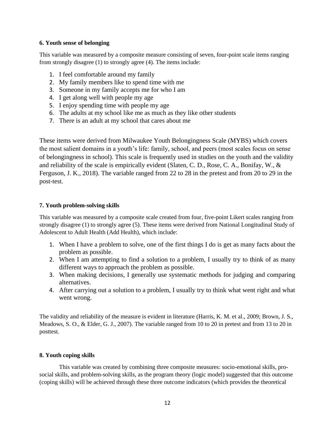### **6. Youth sense of belonging**

This variable was measured by a composite measure consisting of seven, four-point scale items ranging from strongly disagree (1) to strongly agree (4). The items include:

- 1. I feel comfortable around my family
- 2. My family members like to spend time with me
- 3. Someone in my family accepts me for who I am
- 4. I get along well with people my age
- 5. I enjoy spending time with people my age
- 6. The adults at my school like me as much as they like other students
- 7. There is an adult at my school that cares about me

These items were derived from Milwaukee Youth Belongingness Scale (MYBS) which covers the most salient domains in a youth's life: family, school, and peers (most scales focus on sense of belongingness in school). This scale is frequently used in studies on the youth and the validity and reliability of the scale is empirically evident (Slaten, C. D., Rose, C. A., Bonifay, W., & Ferguson, J. K., 2018). The variable ranged from 22 to 28 in the pretest and from 20 to 29 in the post-test.

# **7. Youth problem-solving skills**

This variable was measured by a composite scale created from four, five-point Likert scales ranging from strongly disagree (1) to strongly agree (5). These items were derived from National Longitudinal Study of Adolescent to Adult Health (Add Health), which include:

- 1. When I have a problem to solve, one of the first things I do is get as many facts about the problem as possible.
- 2. When I am attempting to find a solution to a problem, I usually try to think of as many different ways to approach the problem as possible.
- 3. When making decisions, I generally use systematic methods for judging and comparing alternatives.
- 4. After carrying out a solution to a problem, I usually try to think what went right and what went wrong.

The validity and reliability of the measure is evident in literature (Harris, K. M. et al., 2009; Brown, J. S., Meadows, S. O., & Elder, G. J., 2007). The variable ranged from 10 to 20 in pretest and from 13 to 20 in posttest.

# **8. Youth coping skills**

This variable was created by combining three composite measures: socio-emotional skills, prosocial skills, and problem-solving skills, as the program theory (logic model) suggested that this outcome (coping skills) will be achieved through these three outcome indicators (which provides the theoretical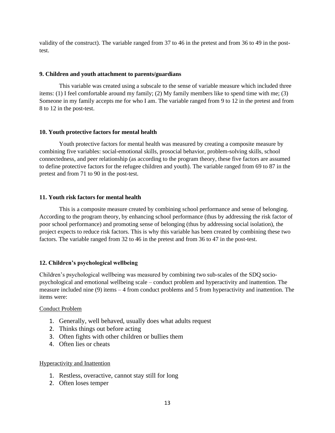validity of the construct). The variable ranged from 37 to 46 in the pretest and from 36 to 49 in the posttest.

### **9. Children and youth attachment to parents/guardians**

This variable was created using a subscale to the sense of variable measure which included three items: (1) I feel comfortable around my family; (2) My family members like to spend time with me; (3) Someone in my family accepts me for who I am. The variable ranged from 9 to 12 in the pretest and from 8 to 12 in the post-test.

#### **10. Youth protective factors for mental health**

Youth protective factors for mental health was measured by creating a composite measure by combining five variables: social-emotional skills, prosocial behavior, problem-solving skills, school connectedness, and peer relationship (as according to the program theory, these five factors are assumed to define protective factors for the refugee children and youth). The variable ranged from 69 to 87 in the pretest and from 71 to 90 in the post-test.

### **11. Youth risk factors for mental health**

This is a composite measure created by combining school performance and sense of belonging. According to the program theory, by enhancing school performance (thus by addressing the risk factor of poor school performance) and promoting sense of belonging (thus by addressing social isolation), the project expects to reduce risk factors. This is why this variable has been created by combining these two factors. The variable ranged from 32 to 46 in the pretest and from 36 to 47 in the post-test.

### **12. Children's psychological wellbeing**

Children's psychological wellbeing was measured by combining two sub-scales of the SDQ sociopsychological and emotional wellbeing scale – conduct problem and hyperactivity and inattention. The measure included nine (9) items – 4 from conduct problems and 5 from hyperactivity and inattention. The items were:

#### Conduct Problem

- 1. Generally, well behaved, usually does what adults request
- 2. Thinks things out before acting
- 3. Often fights with other children or bullies them
- 4. Often lies or cheats

#### Hyperactivity and Inattention

- 1. Restless, overactive, cannot stay still for long
- 2. Often loses temper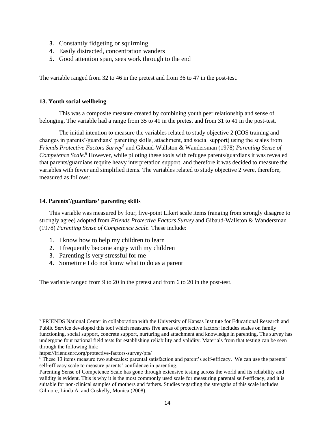- 3. Constantly fidgeting or squirming
- 4. Easily distracted, concentration wanders
- 5. Good attention span, sees work through to the end

The variable ranged from 32 to 46 in the pretest and from 36 to 47 in the post-test.

### **13. Youth social wellbeing**

This was a composite measure created by combining youth peer relationship and sense of belonging. The variable had a range from 35 to 41 in the pretest and from 31 to 41 in the post-test.

The initial intention to measure the variables related to study objective 2 (COS training and changes in parents'/guardians' parenting skills, attachment, and social support) using the scales from *Friends Protective Factors Survey<sup>5</sup>* and Gibaud-Wallston & Wandersman (1978) *Parenting Sense of Competence Scale*. <sup>6</sup> However, while piloting these tools with refugee parents/guardians it was revealed that parents/guardians require heavy interpretation support, and therefore it was decided to measure the variables with fewer and simplified items. The variables related to study objective 2 were, therefore, measured as follows:

### **14. Parents'/guardians' parenting skills**

This variable was measured by four, five-point Likert scale items (ranging from strongly disagree to strongly agree) adopted from *Friends Protective Factors Survey* and Gibaud-Wallston & Wandersman (1978) *Parenting Sense of Competence Scale*. These include:

- 1. I know how to help my children to learn
- 2. I frequently become angry with my children
- 3. Parenting is very stressful for me
- 4. Sometime I do not know what to do as a parent

The variable ranged from 9 to 20 in the pretest and from 6 to 20 in the post-test.

<sup>5</sup> FRIENDS National Center in collaboration with the University of Kansas Institute for Educational Research and Public Service developed this tool which measures five areas of protective factors: includes scales on family functioning, social support, concrete support, nurturing and attachment and knowledge in parenting. The survey has undergone four national field tests for establishing reliability and validity. Materials from that testing can be seen through the following link:

https://friendsnrc.org/protective-factors-survey/pfs/

<sup>&</sup>lt;sup>6</sup> These 13 items measure two subscales: parental satisfaction and parent's self-efficacy. We can use the parents' self-efficacy scale to measure parents' confidence in parenting.

Parenting Sense of Competence Scale has gone through extensive testing across the world and its reliability and validity is evident. This is why it is the most commonly used scale for measuring parental self-efficacy, and it is suitable for non-clinical samples of mothers and fathers. Studies regarding the strengths of this scale includes Gilmore, Linda A. and Cuskelly, Monica (2008).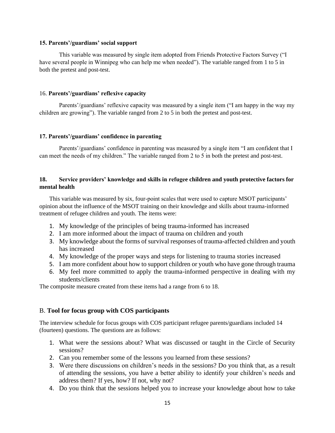### **15. Parents'/guardians' social support**

This variable was measured by single item adopted from Friends Protective Factors Survey ("I have several people in Winnipeg who can help me when needed"). The variable ranged from 1 to 5 in both the pretest and post-test.

### 16. **Parents'/guardians' reflexive capacity**

Parents'/guardians' reflexive capacity was measured by a single item ("I am happy in the way my children are growing"). The variable ranged from 2 to 5 in both the pretest and post-test.

### **17. Parents'/guardians' confidence in parenting**

Parents'/guardians' confidence in parenting was measured by a single item "I am confident that I can meet the needs of my children." The variable ranged from 2 to 5 in both the pretest and post-test.

### **18. Service providers' knowledge and skills in refugee children and youth protective factors for mental health**

This variable was measured by six, four-point scales that were used to capture MSOT participants' opinion about the influence of the MSOT training on their knowledge and skills about trauma-informed treatment of refugee children and youth. The items were:

- 1. My knowledge of the principles of being trauma-informed has increased
- 2. I am more informed about the impact of trauma on children and youth
- 3. My knowledge about the forms of survival responses of trauma-affected children and youth has increased
- 4. My knowledge of the proper ways and steps for listening to trauma stories increased
- 5. I am more confident about how to support children or youth who have gone through trauma
- 6. My feel more committed to apply the trauma-informed perspective in dealing with my students/clients

The composite measure created from these items had a range from 6 to 18.

### B. **Tool for focus group with COS participants**

The interview schedule for focus groups with COS participant refugee parents/guardians included 14 (fourteen) questions. The questions are as follows:

- 1. What were the sessions about? What was discussed or taught in the Circle of Security sessions?
- 2. Can you remember some of the lessons you learned from these sessions?
- 3. Were there discussions on children's needs in the sessions? Do you think that, as a result of attending the sessions, you have a better ability to identify your children's needs and address them? If yes, how? If not, why not?
- 4. Do you think that the sessions helped you to increase your knowledge about how to take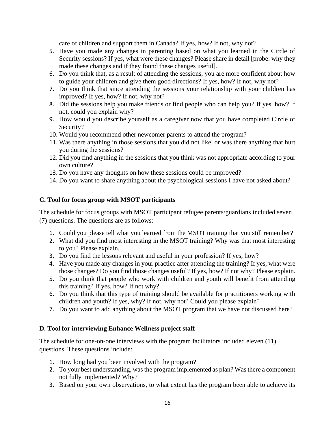care of children and support them in Canada? If yes, how? If not, why not?

- 5. Have you made any changes in parenting based on what you learned in the Circle of Security sessions? If yes, what were these changes? Please share in detail [probe: why they made these changes and if they found these changes useful].
- 6. Do you think that, as a result of attending the sessions, you are more confident about how to guide your children and give them good directions? If yes, how? If not, why not?
- 7. Do you think that since attending the sessions your relationship with your children has improved? If yes, how? If not, why not?
- 8. Did the sessions help you make friends or find people who can help you? If yes, how? If not, could you explain why?
- 9. How would you describe yourself as a caregiver now that you have completed Circle of Security?
- 10. Would you recommend other newcomer parents to attend the program?
- 11. Was there anything in those sessions that you did not like, or was there anything that hurt you during the sessions?
- 12. Did you find anything in the sessions that you think was not appropriate according to your own culture?
- 13. Do you have any thoughts on how these sessions could be improved?
- 14. Do you want to share anything about the psychological sessions I have not asked about?

# **C. Tool for focus group with MSOT participants**

The schedule for focus groups with MSOT participant refugee parents/guardians included seven (7) questions. The questions are as follows:

- 1. Could you please tell what you learned from the MSOT training that you still remember?
- 2. What did you find most interesting in the MSOT training? Why was that most interesting to you? Please explain.
- 3. Do you find the lessons relevant and useful in your profession? If yes, how?
- 4. Have you made any changes in your practice after attending the training? If yes, what were those changes? Do you find those changes useful? If yes, how? If not why? Please explain.
- 5. Do you think that people who work with children and youth will benefit from attending this training? If yes, how? If not why?
- 6. Do you think that this type of training should be available for practitioners working with children and youth? If yes, why? If not, why not? Could you please explain?
- 7. Do you want to add anything about the MSOT program that we have not discussed here?

# **D. Tool for interviewing Enhance Wellness project staff**

The schedule for one-on-one interviews with the program facilitators included eleven (11) questions. These questions include:

- 1. How long had you been involved with the program?
- 2. To your best understanding, was the program implemented as plan? Was there a component not fully implemented? Why?
- 3. Based on your own observations, to what extent has the program been able to achieve its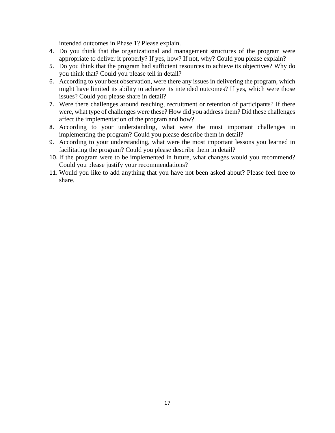intended outcomes in Phase 1? Please explain.

- 4. Do you think that the organizational and management structures of the program were appropriate to deliver it properly? If yes, how? If not, why? Could you please explain?
- 5. Do you think that the program had sufficient resources to achieve its objectives? Why do you think that? Could you please tell in detail?
- 6. According to your best observation, were there any issues in delivering the program, which might have limited its ability to achieve its intended outcomes? If yes, which were those issues? Could you please share in detail?
- 7. Were there challenges around reaching, recruitment or retention of participants? If there were, what type of challenges were these? How did you address them? Did these challenges affect the implementation of the program and how?
- 8. According to your understanding, what were the most important challenges in implementing the program? Could you please describe them in detail?
- 9. According to your understanding, what were the most important lessons you learned in facilitating the program? Could you please describe them in detail?
- 10. If the program were to be implemented in future, what changes would you recommend? Could you please justify your recommendations?
- 11. Would you like to add anything that you have not been asked about? Please feel free to share.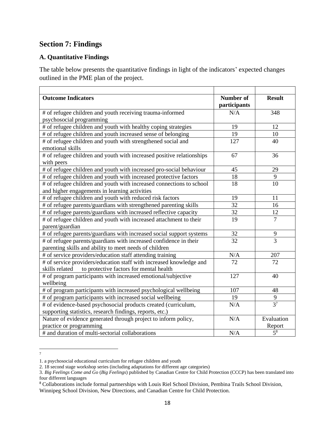# **Section 7: Findings**

# **A. Quantitative Findings**

The table below presents the quantitative findings in light of the indicators' expected changes outlined in the PME plan of the project.

| <b>Outcome Indicators</b>                                                           | <b>Number of</b><br>participants | <b>Result</b>  |
|-------------------------------------------------------------------------------------|----------------------------------|----------------|
| # of refugee children and youth receiving trauma-informed                           | N/A                              | 348            |
| psychosocial programming                                                            |                                  |                |
| # of refugee children and youth with healthy coping strategies                      | 19                               | 12             |
| # of refugee children and youth increased sense of belonging                        | 19                               | 10             |
| # of refugee children and youth with strengthened social and<br>emotional skills    | 127                              | 40             |
| # of refugee children and youth with increased positive relationships<br>with peers | 67                               | 36             |
| # of refugee children and youth with increased pro-social behaviour                 | 45                               | 29             |
| # of refugee children and youth with increased protective factors                   | 18                               | 9              |
| # of refugee children and youth with increased connections to school                | 18                               | 10             |
| and higher engagements in learning activities                                       |                                  |                |
| # of refugee children and youth with reduced risk factors                           | 19                               | 11             |
| # of refugee parents/guardians with strengthened parenting skills                   | 32                               | 16             |
| # of refugee parents/guardians with increased reflective capacity                   | 32                               | 12             |
| # of refugee children and youth with increased attachment to their                  | 19                               | $\overline{7}$ |
| parent/guardian                                                                     |                                  |                |
| # of refugee parents/guardians with increased social support systems                | 32                               | 9              |
| # of refugee parents/guardians with increased confidence in their                   | $\overline{32}$                  | $\overline{3}$ |
| parenting skills and ability to meet needs of children                              |                                  |                |
| # of service providers/education staff attending training                           | N/A                              | 207            |
| # of service providers/education staff with increased knowledge and                 | 72                               | 72             |
| to protective factors for mental health<br>skills related                           |                                  |                |
| # of program participants with increased emotional/subjective                       | 127                              | 40             |
| wellbeing                                                                           |                                  |                |
| # of program participants with increased psychological wellbeing                    | 107                              | 48             |
| # of program participants with increased social wellbeing                           | 19                               | $\mathbf{9}$   |
| # of evidence-based psychosocial products created (curriculum,                      | N/A                              | 3 <sup>7</sup> |
| supporting statistics, research findings, reports, etc.)                            |                                  |                |
| Nature of evidence generated through project to inform policy,                      | N/A                              | Evaluation     |
| practice or programming                                                             |                                  | Report         |
| # and duration of multi-sectorial collaborations                                    | N/A                              | $5^8$          |

<sup>7</sup>

<sup>1.</sup> a psychosocial educational curriculum for refugee children and youth

<sup>2. 18</sup> second stage workshop series (including adaptations for different age categories)

<sup>3.</sup> *Big Feelings Come and Go* (*Big Feelings*) published by Canadian Centre for Child Protection (CCCP) has been translated into four different languages

<sup>8</sup> Collaborations include formal partnerships with Louis Riel School Division, Pembina Trails School Division,

Winnipeg School Division, New Directions, and Canadian Centre for Child Protection.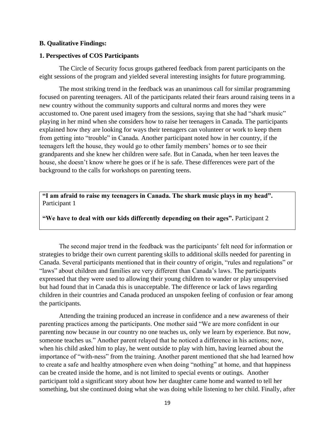### **B. Qualitative Findings:**

### **1. Perspectives of COS Participants**

The Circle of Security focus groups gathered feedback from parent participants on the eight sessions of the program and yielded several interesting insights for future programming.

The most striking trend in the feedback was an unanimous call for similar programming focused on parenting teenagers. All of the participants related their fears around raising teens in a new country without the community supports and cultural norms and mores they were accustomed to. One parent used imagery from the sessions, saying that she had "shark music" playing in her mind when she considers how to raise her teenagers in Canada. The participants explained how they are looking for ways their teenagers can volunteer or work to keep them from getting into "trouble" in Canada. Another participant noted how in her country, if the teenagers left the house, they would go to other family members' homes or to see their grandparents and she knew her children were safe. But in Canada, when her teen leaves the house, she doesn't know where he goes or if he is safe. These differences were part of the background to the calls for workshops on parenting teens.

**"I am afraid to raise my teenagers in Canada. The shark music plays in my head".** Participant 1

**"We have to deal with our kids differently depending on their ages".** Participant 2

The second major trend in the feedback was the participants' felt need for information or strategies to bridge their own current parenting skills to additional skills needed for parenting in Canada. Several participants mentioned that in their country of origin, "rules and regulations" or "laws" about children and families are very different than Canada's laws. The participants expressed that they were used to allowing their young children to wander or play unsupervised but had found that in Canada this is unacceptable. The difference or lack of laws regarding children in their countries and Canada produced an unspoken feeling of confusion or fear among the participants.

Attending the training produced an increase in confidence and a new awareness of their parenting practices among the participants. One mother said "We are more confident in our parenting now because in our country no one teaches us, only we learn by experience. But now, someone teaches us." Another parent relayed that he noticed a difference in his actions; now, when his child asked him to play, he went outside to play with him, having learned about the importance of "with-ness" from the training. Another parent mentioned that she had learned how to create a safe and healthy atmosphere even when doing "nothing" at home, and that happiness can be created inside the home, and is not limited to special events or outings. Another participant told a significant story about how her daughter came home and wanted to tell her something, but she continued doing what she was doing while listening to her child. Finally, after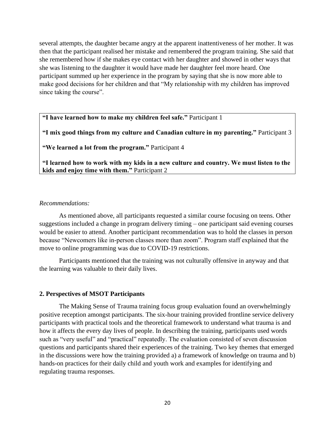several attempts, the daughter became angry at the apparent inattentiveness of her mother. It was then that the participant realised her mistake and remembered the program training. She said that she remembered how if she makes eye contact with her daughter and showed in other ways that she was listening to the daughter it would have made her daughter feel more heard. One participant summed up her experience in the program by saying that she is now more able to make good decisions for her children and that "My relationship with my children has improved since taking the course".

**"I have learned how to make my children feel safe."** Participant 1

**"I mix good things from my culture and Canadian culture in my parenting."** Participant 3

**"We learned a lot from the program."** Participant 4

**"I learned how to work with my kids in a new culture and country. We must listen to the kids and enjoy time with them."** Participant 2

### *Recommendations:*

As mentioned above, all participants requested a similar course focusing on teens. Other suggestions included a change in program delivery timing – one participant said evening courses would be easier to attend. Another participant recommendation was to hold the classes in person because "Newcomers like in-person classes more than zoom". Program staff explained that the move to online programming was due to COVID-19 restrictions.

Participants mentioned that the training was not culturally offensive in anyway and that the learning was valuable to their daily lives.

### **2. Perspectives of MSOT Participants**

The Making Sense of Trauma training focus group evaluation found an overwhelmingly positive reception amongst participants. The six-hour training provided frontline service delivery participants with practical tools and the theoretical framework to understand what trauma is and how it affects the every day lives of people. In describing the training, participants used words such as "very useful" and "practical" repeatedly. The evaluation consisted of seven discussion questions and participants shared their experiences of the training. Two key themes that emerged in the discussions were how the training provided a) a framework of knowledge on trauma and b) hands-on practices for their daily child and youth work and examples for identifying and regulating trauma responses.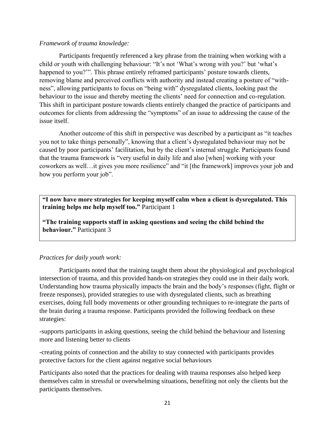# *Framework of trauma knowledge:*

Participants frequently referenced a key phrase from the training when working with a child or youth with challenging behaviour: "It's not 'What's wrong with you?' but 'what's happened to you?"". This phrase entirely reframed participants' posture towards clients, removing blame and perceived conflicts with authority and instead creating a posture of "withness", allowing participants to focus on "being with" dysregulated clients, looking past the behaviour to the issue and thereby meeting the clients' need for connection and co-regulation. This shift in participant posture towards clients entirely changed the practice of participants and outcomes for clients from addressing the "symptoms" of an issue to addressing the cause of the issue itself.

Another outcome of this shift in perspective was described by a participant as "it teaches you not to take things personally", knowing that a client's dysregulated behaviour may not be caused by poor participants' facilitation, but by the client's internal struggle. Participants found that the trauma framework is "very useful in daily life and also [when] working with your coworkers as well…it gives you more resilience" and "it [the framework] improves your job and how you perform your job".

**"I now have more strategies for keeping myself calm when a client is dysregulated. This training helps me help myself too."** Participant 1

**"The training supports staff in asking questions and seeing the child behind the behaviour."** Participant 3

# *Practices for daily youth work:*

Participants noted that the training taught them about the physiological and psychological intersection of trauma, and this provided hands-on strategies they could use in their daily work. Understanding how trauma physically impacts the brain and the body's responses (fight, flight or freeze responses), provided strategies to use with dysregulated clients, such as breathing exercises, doing full body movements or other grounding techniques to re-integrate the parts of the brain during a trauma response. Participants provided the following feedback on these strategies:

-supports participants in asking questions, seeing the child behind the behaviour and listening more and listening better to clients

-creating points of connection and the ability to stay connected with participants provides protective factors for the client against negative social behaviours

Participants also noted that the practices for dealing with trauma responses also helped keep themselves calm in stressful or overwhelming situations, benefiting not only the clients but the participants themselves.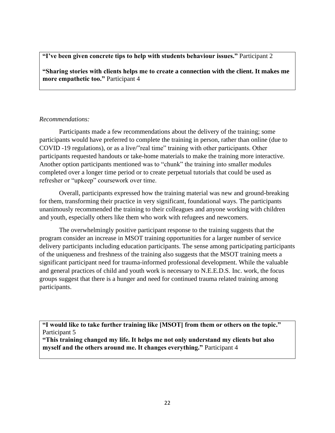# **"I've been given concrete tips to help with students behaviour issues."** Participant 2

**"Sharing stories with clients helps me to create a connection with the client. It makes me more empathetic too."** Participant 4

# *Recommendations:*

Participants made a few recommendations about the delivery of the training; some participants would have preferred to complete the training in person, rather than online (due to COVID -19 regulations), or as a live/"real time" training with other participants. Other participants requested handouts or take-home materials to make the training more interactive. Another option participants mentioned was to "chunk" the training into smaller modules completed over a longer time period or to create perpetual tutorials that could be used as refresher or "upkeep" coursework over time.

Overall, participants expressed how the training material was new and ground-breaking for them, transforming their practice in very significant, foundational ways. The participants unanimously recommended the training to their colleagues and anyone working with children and youth, especially others like them who work with refugees and newcomers.

The overwhelmingly positive participant response to the training suggests that the program consider an increase in MSOT training opportunities for a larger number of service delivery participants including education participants. The sense among participating participants of the uniqueness and freshness of the training also suggests that the MSOT training meets a significant participant need for trauma-informed professional development. While the valuable and general practices of child and youth work is necessary to N.E.E.D.S. Inc. work, the focus groups suggest that there is a hunger and need for continued trauma related training among participants.

**"I would like to take further training like [MSOT] from them or others on the topic."** Participant 5

**"This training changed my life. It helps me not only understand my clients but also myself and the others around me. It changes everything."** Participant 4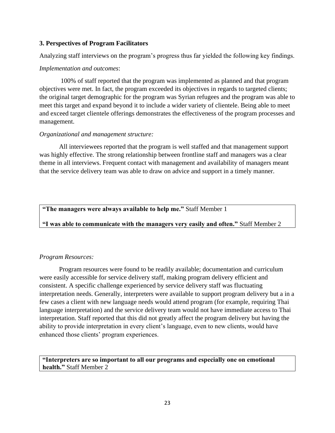# **3. Perspectives of Program Facilitators**

Analyzing staff interviews on the program's progress thus far yielded the following key findings.

# *Implementation and outcomes*:

100% of staff reported that the program was implemented as planned and that program objectives were met. In fact, the program exceeded its objectives in regards to targeted clients; the original target demographic for the program was Syrian refugees and the program was able to meet this target and expand beyond it to include a wider variety of clientele. Being able to meet and exceed target clientele offerings demonstrates the effectiveness of the program processes and management.

# *Organizational and management structure:*

All interviewees reported that the program is well staffed and that management support was highly effective. The strong relationship between frontline staff and managers was a clear theme in all interviews. Frequent contact with management and availability of managers meant that the service delivery team was able to draw on advice and support in a timely manner.

**"The managers were always available to help me."** Staff Member 1

# **"I was able to communicate with the managers very easily and often."** Staff Member 2

# *Program Resources:*

Program resources were found to be readily available; documentation and curriculum were easily accessible for service delivery staff, making program delivery efficient and consistent. A specific challenge experienced by service delivery staff was fluctuating interpretation needs. Generally, interpreters were available to support program delivery but a in a few cases a client with new language needs would attend program (for example, requiring Thai language interpretation) and the service delivery team would not have immediate access to Thai interpretation. Staff reported that this did not greatly affect the program delivery but having the ability to provide interpretation in every client's language, even to new clients, would have enhanced those clients' program experiences.

# **"Interpreters are so important to all our programs and especially one on emotional health."** Staff Member 2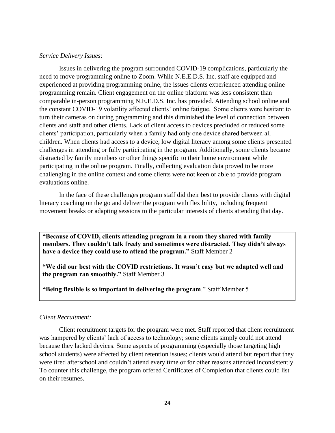### *Service Delivery Issues:*

Issues in delivering the program surrounded COVID-19 complications, particularly the need to move programming online to Zoom. While N.E.E.D.S. Inc. staff are equipped and experienced at providing programming online, the issues clients experienced attending online programming remain. Client engagement on the online platform was less consistent than comparable in-person programming N.E.E.D.S. Inc. has provided. Attending school online and the constant COVID-19 volatility affected clients' online fatigue. Some clients were hesitant to turn their cameras on during programming and this diminished the level of connection between clients and staff and other clients. Lack of client access to devices precluded or reduced some clients' participation, particularly when a family had only one device shared between all children. When clients had access to a device, low digital literacy among some clients presented challenges in attending or fully participating in the program. Additionally, some clients became distracted by family members or other things specific to their home environment while participating in the online program. Finally, collecting evaluation data proved to be more challenging in the online context and some clients were not keen or able to provide program evaluations online.

In the face of these challenges program staff did their best to provide clients with digital literacy coaching on the go and deliver the program with flexibility, including frequent movement breaks or adapting sessions to the particular interests of clients attending that day.

**"Because of COVID, clients attending program in a room they shared with family members. They couldn't talk freely and sometimes were distracted. They didn't always have a device they could use to attend the program."** Staff Member 2

**"We did our best with the COVID restrictions. It wasn't easy but we adapted well and the program ran smoothly."** Staff Member 3

**"Being flexible is so important in delivering the program**." Staff Member 5

### *Client Recruitment:*

Client recruitment targets for the program were met. Staff reported that client recruitment was hampered by clients' lack of access to technology; some clients simply could not attend because they lacked devices. Some aspects of programming (especially those targeting high school students) were affected by client retention issues; clients would attend but report that they were tired afterschool and couldn't attend every time or for other reasons attended inconsistently. To counter this challenge, the program offered Certificates of Completion that clients could list on their resumes.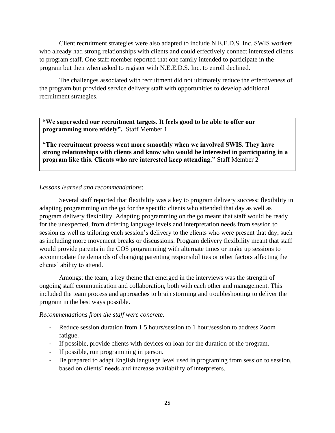Client recruitment strategies were also adapted to include N.E.E.D.S. Inc. SWIS workers who already had strong relationships with clients and could effectively connect interested clients to program staff. One staff member reported that one family intended to participate in the program but then when asked to register with N.E.E.D.S. Inc. to enroll declined.

The challenges associated with recruitment did not ultimately reduce the effectiveness of the program but provided service delivery staff with opportunities to develop additional recruitment strategies.

**"We superseded our recruitment targets. It feels good to be able to offer our programming more widely".** Staff Member 1

**"The recruitment process went more smoothly when we involved SWIS. They have strong relationships with clients and know who would be interested in participating in a program like this. Clients who are interested keep attending."** Staff Member 2

### *Lessons learned and recommendations*:

Several staff reported that flexibility was a key to program delivery success; flexibility in adapting programming on the go for the specific clients who attended that day as well as program delivery flexibility. Adapting programming on the go meant that staff would be ready for the unexpected, from differing language levels and interpretation needs from session to session as well as tailoring each session's delivery to the clients who were present that day, such as including more movement breaks or discussions. Program delivery flexibility meant that staff would provide parents in the COS programming with alternate times or make up sessions to accommodate the demands of changing parenting responsibilities or other factors affecting the clients' ability to attend.

Amongst the team, a key theme that emerged in the interviews was the strength of ongoing staff communication and collaboration, both with each other and management. This included the team process and approaches to brain storming and troubleshooting to deliver the program in the best ways possible.

### *Recommendations from the staff were concrete:*

- Reduce session duration from 1.5 hours/session to 1 hour/session to address Zoom fatigue.
- If possible, provide clients with devices on loan for the duration of the program.
- If possible, run programming in person.
- Be prepared to adapt English language level used in programing from session to session, based on clients' needs and increase availability of interpreters.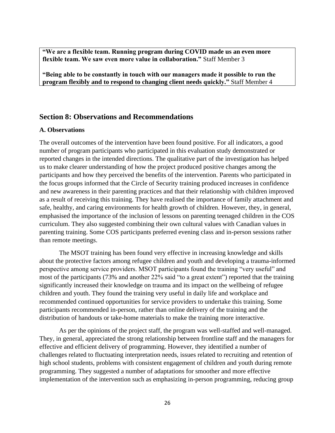**"We are a flexible team. Running program during COVID made us an even more flexible team. We saw even more value in collaboration."** Staff Member 3

**"Being able to be constantly in touch with our managers made it possible to run the program flexibly and to respond to changing client needs quickly."** Staff Member 4

# **Section 8: Observations and Recommendations**

### **A. Observations**

The overall outcomes of the intervention have been found positive. For all indicators, a good number of program participants who participated in this evaluation study demonstrated or reported changes in the intended directions. The qualitative part of the investigation has helped us to make clearer understanding of how the project produced positive changes among the participants and how they perceived the benefits of the intervention. Parents who participated in the focus groups informed that the Circle of Security training produced increases in confidence and new awareness in their parenting practices and that their relationship with children improved as a result of receiving this training. They have realised the importance of family attachment and safe, healthy, and caring environments for health growth of children. However, they, in general, emphasised the importance of the inclusion of lessons on parenting teenaged children in the COS curriculum. They also suggested combining their own cultural values with Canadian values in parenting training. Some COS participants preferred evening class and in-person sessions rather than remote meetings.

The MSOT training has been found very effective in increasing knowledge and skills about the protective factors among refugee children and youth and developing a trauma-informed perspective among service providers. MSOT participants found the training "very useful" and most of the participants (73% and another 22% said "to a great extent") reported that the training significantly increased their knowledge on trauma and its impact on the wellbeing of refugee children and youth. They found the training very useful in daily life and workplace and recommended continued opportunities for service providers to undertake this training. Some participants recommended in-person, rather than online delivery of the training and the distribution of handouts or take-home materials to make the training more interactive.

As per the opinions of the project staff, the program was well-staffed and well-managed. They, in general, appreciated the strong relationship between frontline staff and the managers for effective and efficient delivery of programming. However, they identified a number of challenges related to fluctuating interpretation needs, issues related to recruiting and retention of high school students, problems with consistent engagement of children and youth during remote programming. They suggested a number of adaptations for smoother and more effective implementation of the intervention such as emphasizing in-person programming, reducing group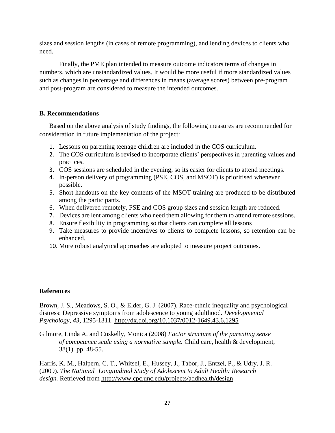sizes and session lengths (in cases of remote programming), and lending devices to clients who need.

Finally, the PME plan intended to measure outcome indicators terms of changes in numbers, which are unstandardized values. It would be more useful if more standardized values such as changes in percentage and differences in means (average scores) between pre-program and post-program are considered to measure the intended outcomes.

# **B. Recommendations**

Based on the above analysis of study findings, the following measures are recommended for consideration in future implementation of the project:

- 1. Lessons on parenting teenage children are included in the COS curriculum.
- 2. The COS curriculum is revised to incorporate clients' perspectives in parenting values and practices.
- 3. COS sessions are scheduled in the evening, so its easier for clients to attend meetings.
- 4. In-person delivery of programming (PSE, COS, and MSOT) is prioritised whenever possible.
- 5. Short handouts on the key contents of the MSOT training are produced to be distributed among the participants.
- 6. When delivered remotely, PSE and COS group sizes and session length are reduced.
- 7. Devices are lent among clients who need them allowing for them to attend remote sessions.
- 8. Ensure flexibility in programming so that clients can complete all lessons
- 9. Take measures to provide incentives to clients to complete lessons, so retention can be enhanced.
- 10. More robust analytical approaches are adopted to measure project outcomes.

# **References**

Brown, J. S., Meadows, S. O., & Elder, G. J. (2007). Race-ethnic inequality and psychological distress: Depressive symptoms from adolescence to young adulthood. *Developmental Psychology, 43,* 1295-1311. <http://dx.doi.org/10.1037/0012-1649.43.6.1295>

Gilmore, Linda A. and Cuskelly, Monica (2008) *Factor structure of the parenting sense of competence scale using a normative sample.* Child care, health & development, 38(1). pp. 48-55.

Harris, K. M., Halpern, C. T., Whitsel, E., Hussey, J., Tabor, J., Entzel, P., & Udry, J. R. (2009). *The National Longitudinal Study of Adolescent to Adult Health: Research design.* Retrieved from <http://www.cpc.unc.edu/projects/addhealth/design>